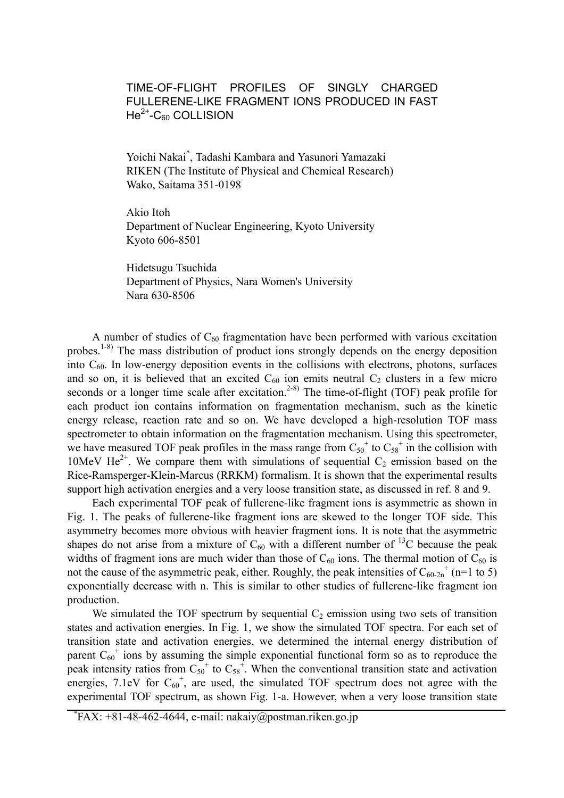## TIME-OF-FLIGHT PROFILES OF SINGLY CHARGED FULLERENE-LIKE FRAGMENT IONS PRODUCED IN FAST  $He<sup>2+</sup>-C<sub>60</sub>$  COLLISION

Yoichi Nakai\* , Tadashi Kambara and Yasunori Yamazaki RIKEN (The Institute of Physical and Chemical Research) Wako, Saitama 351-0198

Akio Itoh Department of Nuclear Engineering, Kyoto University Kyoto 606-8501

Hidetsugu Tsuchida Department of Physics, Nara Women's University Nara 630-8506

A number of studies of  $C_{60}$  fragmentation have been performed with various excitation probes.<sup>1-8)</sup> The mass distribution of product ions strongly depends on the energy deposition into  $C_{60}$ . In low-energy deposition events in the collisions with electrons, photons, surfaces and so on, it is believed that an excited  $C_{60}$  ion emits neutral  $C_2$  clusters in a few micro seconds or a longer time scale after excitation.<sup>2-8)</sup> The time-of-flight (TOF) peak profile for each product ion contains information on fragmentation mechanism, such as the kinetic energy release, reaction rate and so on. We have developed a high-resolution TOF mass spectrometer to obtain information on the fragmentation mechanism. Using this spectrometer, we have measured TOF peak profiles in the mass range from  $C_{50}$ <sup>+</sup> to  $C_{58}$ <sup>+</sup> in the collision with 10MeV He<sup>2+</sup>. We compare them with simulations of sequential  $C_2$  emission based on the Rice-Ramsperger-Klein-Marcus (RRKM) formalism. It is shown that the experimental results support high activation energies and a very loose transition state, as discussed in ref. 8 and 9.

Each experimental TOF peak of fullerene-like fragment ions is asymmetric as shown in Fig. 1. The peaks of fullerene-like fragment ions are skewed to the longer TOF side. This asymmetry becomes more obvious with heavier fragment ions. It is note that the asymmetric shapes do not arise from a mixture of  $C_{60}$  with a different number of <sup>13</sup>C because the peak widths of fragment ions are much wider than those of  $C_{60}$  ions. The thermal motion of  $C_{60}$  is not the cause of the asymmetric peak, either. Roughly, the peak intensities of  $C_{60-2n}$ <sup>+</sup> (n=1 to 5) exponentially decrease with n. This is similar to other studies of fullerene-like fragment ion production.

We simulated the TOF spectrum by sequential  $C_2$  emission using two sets of transition states and activation energies. In Fig. 1, we show the simulated TOF spectra. For each set of transition state and activation energies, we determined the internal energy distribution of parent  $C_{60}$ <sup>+</sup> ions by assuming the simple exponential functional form so as to reproduce the peak intensity ratios from  $C_{50}$ <sup>+</sup> to  $C_{58}$ <sup>+</sup>. When the conventional transition state and activation energies, 7.1eV for  $C_{60}^+$ , are used, the simulated TOF spectrum does not agree with the experimental TOF spectrum, as shown Fig. 1-a. However, when a very loose transition state

<sup>\*</sup> FAX: +81-48-462-4644, e-mail: nakaiy@postman.riken.go.jp